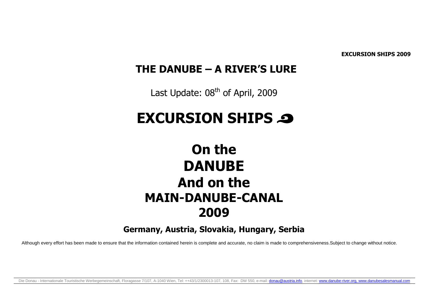EXCURSION SHIPS 2009

### THE DANUBE – A RIVER'S LURE

Last Update:  $08<sup>th</sup>$  of April, 2009

# EXCURSION SHIPS @

## On the DANUBE And on the MAIN-DANUBE-CANAL 2009

Germany, Austria, Slovakia, Hungary, Serbia

Although every effort has been made to ensure that the information contained herein is complete and accurate, no claim is made to comprehensiveness. Subject to change without notice.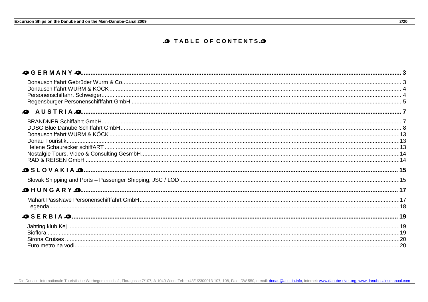#### **O TABLE OF CONTENTS**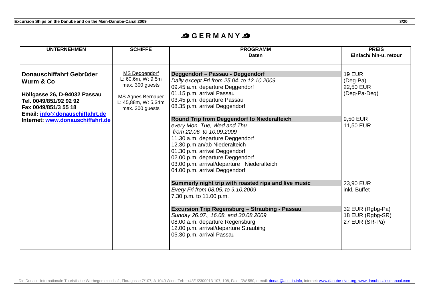#### **G E R M A N Y**

| <b>UNTERNEHMEN</b>                                                 | <b>SCHIFFE</b>                                  | <b>PROGRAMM</b><br><b>Daten</b>                                               | <b>PREIS</b><br>Einfach/ hin-u. retour |
|--------------------------------------------------------------------|-------------------------------------------------|-------------------------------------------------------------------------------|----------------------------------------|
|                                                                    |                                                 |                                                                               |                                        |
| Donauschiffahrt Gebrüder                                           | MS Deggendorf<br>L: 60,6m, W: 9,5m              | Deggendorf - Passau - Deggendorf                                              | <b>19 EUR</b>                          |
| Wurm & Co                                                          | max. 300 guests                                 | Daily except Fri from 25.04. to 12.10.2009<br>09.45 a.m. departure Deggendorf | (Deg-Pa)<br>22,50 EUR                  |
| Höllgasse 26, D-94032 Passau                                       |                                                 | 01.15 p.m. arrival Passau                                                     | (Deg-Pa-Deg)                           |
| Tel. 0049/851/92 92 92                                             | <b>MS Agnes Bernauer</b><br>L: 45,88m, W: 5,34m | 03.45 p.m. departure Passau                                                   |                                        |
| Fax 0049/851/3 55 18                                               | max. 300 quests                                 | 08.35 p.m. arrival Deggendorf                                                 |                                        |
| Email: info@donauschiffahrt.de<br>Internet: www.donauschiffahrt.de |                                                 | Round Trip from Deggendorf to Niederalteich                                   | 9,50 EUR                               |
|                                                                    |                                                 | every Mon, Tue, Wed and Thu                                                   | 11,50 EUR                              |
|                                                                    |                                                 | from 22.06, to 10.09.2009                                                     |                                        |
|                                                                    |                                                 | 11.30 a.m. departure Deggendorf                                               |                                        |
|                                                                    |                                                 | 12.30 p.m an/ab Niederalteich<br>01.30 p.m. arrival Deggendorf                |                                        |
|                                                                    |                                                 | 02.00 p.m. departure Deggendorf                                               |                                        |
|                                                                    |                                                 | 03.00 p.m. arrival/departure Niederalteich                                    |                                        |
|                                                                    |                                                 | 04.00 p.m. arrival Deggendorf                                                 |                                        |
|                                                                    |                                                 | Summerly night trip with roasted rips and live music                          | 23,90 EUR                              |
|                                                                    |                                                 | Every Fri from 08.05. to 9.10.2009                                            | inkl. Buffet                           |
|                                                                    |                                                 | 7.30 p.m. to 11.00 p.m.                                                       |                                        |
|                                                                    |                                                 | Excursion Trip Regensburg - Straubing - Passau                                | 32 EUR (Rgbg-Pa)                       |
|                                                                    |                                                 | Sunday 26.07., 16.08. and 30.08.2009                                          | 18 EUR (Rgbg-SR)                       |
|                                                                    |                                                 | 08.00 a.m. departure Regensburg                                               | 27 EUR (SR-Pa)                         |
|                                                                    |                                                 | 12.00 p.m. arrival/departure Straubing<br>05.30 p.m. arrival Passau           |                                        |
|                                                                    |                                                 |                                                                               |                                        |
|                                                                    |                                                 |                                                                               |                                        |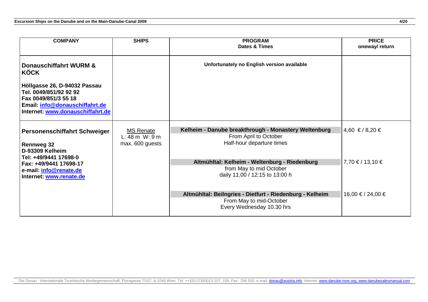| <b>COMPANY</b>                                                                                                                                              | <b>SHIPS</b>                                                     | <b>PROGRAM</b><br><b>Dates &amp; Times</b>                                                                       | <b>PRICE</b><br>oneway/return |
|-------------------------------------------------------------------------------------------------------------------------------------------------------------|------------------------------------------------------------------|------------------------------------------------------------------------------------------------------------------|-------------------------------|
| <b>Donauschiffahrt WURM &amp;</b><br>KÖCK                                                                                                                   |                                                                  | Unfortunately no English version available                                                                       |                               |
| Höllgasse 26, D-94032 Passau<br>Tel. 0049/851/92 92 92<br>Fax 0049/851/3 55 18<br><b>Email: info@donauschiffahrt.de</b><br>Internet: www.donauschiffahrt.de |                                                                  |                                                                                                                  |                               |
| Personenschiffahrt Schweiger<br><b>Rennweg 32</b><br>D-93309 Kelheim                                                                                        | <b>MS Renate</b><br>$L: 48 \, m \, W: 9 \, m$<br>max. 600 guests | Kelheim - Danube breakthrough - Monastery Weltenburg<br>From April to October<br>Half-hour departure times       | $4,60 \text{ } \in 78,20 \in$ |
| Tel: +49/9441 17698-0<br>Fax: +49/9441 17698-17<br>e-mail: info@renate.de<br>Internet: www.renate.de                                                        |                                                                  | Altmühltal: Kelheim - Weltenburg - Riedenburg<br>from May to mid October<br>daily 11.00 / 12:15 to 13:00 h       | $7,70 \in 713,10 \in$         |
|                                                                                                                                                             |                                                                  | Altmühltal: Beilngries - Dietfurt - Riedenburg - Kelheim<br>From May to mid-October<br>Every Wednesday 10.30 hrs | 16,00 € / 24,00 €             |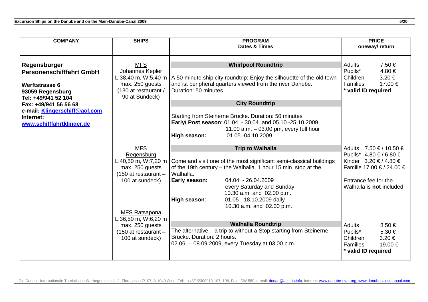| <b>COMPANY</b>                                                                                                                                                                                                          | <b>SHIPS</b>                                                                                                                                                                                                                 | <b>PROGRAM</b>                                                                                                                                                                                                                                                                                                                                                                                                                                                                                                                                                                       | <b>PRICE</b>                                                                                                                                                                                                                                                                                      |  |
|-------------------------------------------------------------------------------------------------------------------------------------------------------------------------------------------------------------------------|------------------------------------------------------------------------------------------------------------------------------------------------------------------------------------------------------------------------------|--------------------------------------------------------------------------------------------------------------------------------------------------------------------------------------------------------------------------------------------------------------------------------------------------------------------------------------------------------------------------------------------------------------------------------------------------------------------------------------------------------------------------------------------------------------------------------------|---------------------------------------------------------------------------------------------------------------------------------------------------------------------------------------------------------------------------------------------------------------------------------------------------|--|
|                                                                                                                                                                                                                         |                                                                                                                                                                                                                              | Dates & Times                                                                                                                                                                                                                                                                                                                                                                                                                                                                                                                                                                        | oneway/ return                                                                                                                                                                                                                                                                                    |  |
| Regensburger<br><b>Personenschifffahrt GmbH</b><br><b>Werftstrasse 6</b><br>93059 Regensburg<br>Tel: +49/941 52 104<br>Fax: +49/941 56 56 68<br>e-mail: Klingerschiff@aol.com<br>Internet:<br>www.schifffahrtklinger.de | <b>MFS</b><br>Johannes Kepler<br>L:38,40 m, W:5,40 m<br>max. 250 guests<br>(130 at restaurant /<br>90 at Sundeck)                                                                                                            | <b>Whirlpool Roundtrip</b><br>A 50-minute ship city roundtrip: Enjoy the silhouette of the old town<br>and ist peripheral quarters viewed from the river Danube.<br>Duration: 50 minutes<br><b>City Roundtrip</b><br>Starting from Steinerne Brücke. Duration: 50 minutes<br>Early/ Post season: 01.04. - 30.04. and 05.10.-25.10.2009<br>11.00 $a.m. -03.00$ pm, every full hour                                                                                                                                                                                                    | <b>Adults</b><br>7.50 €<br>Pupils*<br>4.80€<br>Children<br>$3.20 \in$<br>Families<br>17.00 €<br>* valid ID required                                                                                                                                                                               |  |
|                                                                                                                                                                                                                         | <b>MFS</b><br>Regensburg<br>L:40,50 m, W:7,20 m<br>max. 250 guests<br>$(150$ at restaurant -<br>100 at sundeck)<br><b>MFS Ratsapona</b><br>L:36,50 m, W:6,20 m<br>max. 250 guests<br>(150 at restaurant -<br>100 at sundeck) | 01.05.-04.10.2009<br>High season:<br><b>Trip to Walhalla</b><br>Come and visit one of the most significant semi-classical buildings<br>of the 19th century – the Walhalla. 1 hour 15 min. stop at the<br>Walhalla.<br>04.04. - 26.04.2009<br>Early season:<br>every Saturday and Sunday<br>10.30 a.m. and 02.00 p.m.<br>01.05 - 18.10.2009 daily<br>High season:<br>10.30 a.m. and 02.00 p.m.<br><b>Walhalla Roundtrip</b><br>The alternative $-$ a trip to without a Stop starting from Steinerne<br>Brücke. Duration: 2 hours.<br>02.06. - 08.09.2009, every Tuesday at 03.00 p.m. | 7.50 € / 10.50 €<br><b>Adults</b><br>Pupils* 4.80 € / 6.80 €<br>Kinder 3.20 € / 4.80 €<br>Familie 17.00 € / 24.00 €<br>Entrance fee for the<br>Walhalla is not included!<br><b>Adults</b><br>8.50€<br>Pupils*<br>5.30 €<br>Children<br>3.20€<br>19.00 €<br><b>Families</b><br>* valid ID required |  |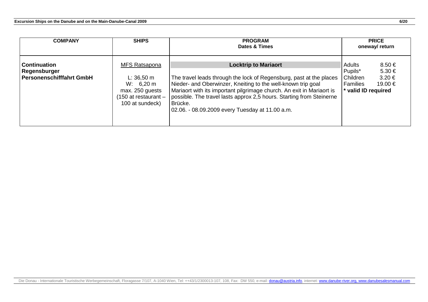| <b>COMPANY</b>                                                         | <b>SHIPS</b>                                                                                               | <b>PROGRAM</b><br>Dates & Times                                                                                                                                                                                                                                                                                                                                                   | <b>PRICE</b><br>oneway/return                                                                                                |  |  |
|------------------------------------------------------------------------|------------------------------------------------------------------------------------------------------------|-----------------------------------------------------------------------------------------------------------------------------------------------------------------------------------------------------------------------------------------------------------------------------------------------------------------------------------------------------------------------------------|------------------------------------------------------------------------------------------------------------------------------|--|--|
| <b>Continuation</b><br>Regensburger<br><b>Personenschifffahrt GmbH</b> | MFS Ratsapona<br>$L: 36,50 \; m$<br>W: 6,20 m<br>max. 250 guests<br>150 at restaurant -<br>100 at sundeck) | <b>Locktrip to Mariaort</b><br>The travel leads through the lock of Regensburg, past at the places<br>Nieder- and Oberwinzer, Kneiting to the well-known trip goal<br>Mariaort with its important pilgrimage church. An exit in Mariaort is<br>possible. The travel lasts approx 2,5 hours. Starting from Steinerne<br>Brücke.<br>02.06. - 08.09.2009 every Tuesday at 11.00 a.m. | $8.50 \in$<br>Adults<br>Pupils*<br>$5.30 \in$<br>Children<br>$3.20 \in$<br><b>Families</b><br>19.00 €<br>* valid ID required |  |  |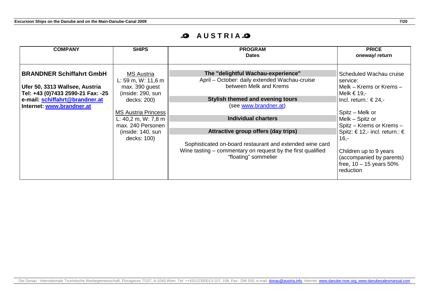### **AUSTRIAS**

| <b>COMPANY</b>                                                                                                                                                        | <b>SHIPS</b>                                                                                                                                                                                                | <b>PROGRAM</b><br><b>Dates</b>                                                                                                                                                                                                                                                                                                                                                                     | <b>PRICE</b><br>oneway/return                                                                                                                                                                                                                                                                                                     |
|-----------------------------------------------------------------------------------------------------------------------------------------------------------------------|-------------------------------------------------------------------------------------------------------------------------------------------------------------------------------------------------------------|----------------------------------------------------------------------------------------------------------------------------------------------------------------------------------------------------------------------------------------------------------------------------------------------------------------------------------------------------------------------------------------------------|-----------------------------------------------------------------------------------------------------------------------------------------------------------------------------------------------------------------------------------------------------------------------------------------------------------------------------------|
| <b>BRANDNER Schiffahrt GmbH</b><br>Ufer 50, 3313 Wallsee, Austria<br>Tel: +43 (0)7433 2590-21 Fax: -25<br>e-mail: schiffahrt@brandner.at<br>Internet: www.brandner.at | <b>MS Austria</b><br>L: 59 m, W: 11,6 m<br>max. 390 guest<br>(inside: 290, sun<br>decks: 200)<br><b>MS Austria Princess</b><br>L: 40,2 m, W: 7,8 m<br>max. 240 Personen<br>(inside: 140, sun<br>decks: 100) | The "delightful Wachau-experience"<br>April – October: daily extended Wachau-cruise<br>between Melk and Krems<br>Stylish themed and evening tours<br>(see www.brandner.at)<br><b>Individual charters</b><br>Attractive group offers (day trips)<br>Sophisticated on-board restaurant and extended wine card<br>Wine tasting – commentary on request by the first qualified<br>"floating" sommelier | Scheduled Wachau cruise<br>service:<br>Melk – Krems or Krems –<br>Melk $\in$ 19,-<br>Incl. return.: $\in$ 24,-<br>Spitz – Melk or<br>Melk - Spitz or<br>Spitz - Krems or Krems -<br>Spitz: € 12,- incl. return.: $∈$<br>$16,-$<br>Children up to 9 years<br>(accompanied by parents)<br>free, $10 - 15$ years $50\%$<br>reduction |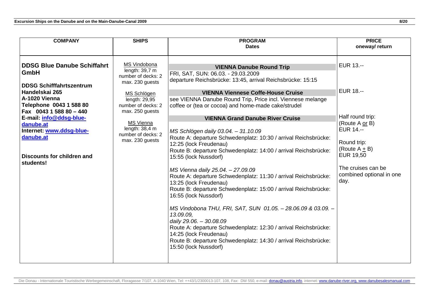| <b>COMPANY</b>                                                                                                                                                                                                                                                                                            | <b>SHIPS</b>                                                                                                                                                                                                                          | <b>PROGRAM</b>                                                                                                                                                                                                                                                                                                                                                                                                                                                                                                                                                                                                                                                                                                                                                                                                                                                                                                                                                                                                      | <b>PRICE</b>                                                                                                                                                                                               |
|-----------------------------------------------------------------------------------------------------------------------------------------------------------------------------------------------------------------------------------------------------------------------------------------------------------|---------------------------------------------------------------------------------------------------------------------------------------------------------------------------------------------------------------------------------------|---------------------------------------------------------------------------------------------------------------------------------------------------------------------------------------------------------------------------------------------------------------------------------------------------------------------------------------------------------------------------------------------------------------------------------------------------------------------------------------------------------------------------------------------------------------------------------------------------------------------------------------------------------------------------------------------------------------------------------------------------------------------------------------------------------------------------------------------------------------------------------------------------------------------------------------------------------------------------------------------------------------------|------------------------------------------------------------------------------------------------------------------------------------------------------------------------------------------------------------|
|                                                                                                                                                                                                                                                                                                           |                                                                                                                                                                                                                                       | <b>Dates</b>                                                                                                                                                                                                                                                                                                                                                                                                                                                                                                                                                                                                                                                                                                                                                                                                                                                                                                                                                                                                        | oneway/return                                                                                                                                                                                              |
|                                                                                                                                                                                                                                                                                                           |                                                                                                                                                                                                                                       |                                                                                                                                                                                                                                                                                                                                                                                                                                                                                                                                                                                                                                                                                                                                                                                                                                                                                                                                                                                                                     |                                                                                                                                                                                                            |
| <b>DDSG Blue Danube Schiffahrt</b><br>GmbH<br><b>DDSG Schifffahrtszentrum</b><br>Handelskai 265<br>A-1020 Vienna<br>Telephone 0043 1 588 80<br>Fax 0043 1 588 80 - 440<br>E-mail: info@ddsg-blue-<br>danube.at<br>Internet: www.ddsg-blue-<br>danube.at<br><b>Discounts for children and</b><br>students! | MS Vindobona<br>length: $39,7$ m<br>number of decks: 2<br>max. 230 guests<br>MS Schlögen<br>length: $29,95$<br>number of decks: 2<br>max. 250 guests<br><b>MS Vienna</b><br>length: $38,4$ m<br>number of decks: 2<br>max. 230 guests | <b>VIENNA Danube Round Trip</b><br>FRI, SAT, SUN: 06.03. - 29.03.2009<br>departure Reichsbrücke: 13:45, arrival Reichsbrücke: 15:15<br><b>VIENNA Viennese Coffe-House Cruise</b><br>see VIENNA Danube Round Trip, Price incl. Viennese melange<br>coffee or (tea or cocoa) and home-made cake/strudel<br><b>VIENNA Grand Danube River Cruise</b><br>MS Schlögen daily 03.04. - 31.10.09<br>Route A: departure Schwedenplatz: 10:30 / arrival Reichsbrücke:<br>12:25 (lock Freudenau)<br>Route B: departure Schwedenplatz: 14:00 / arrival Reichsbrücke:<br>15:55 (lock Nussdorf)<br>MS Vienna daily 25.04. - 27.09.09<br>Route A: departure Schwedenplatz: 11:30 / arrival Reichsbrücke:<br>13:25 (lock Freudenau)<br>Route B: departure Schwedenplatz: 15:00 / arrival Reichsbrücke:<br>16:55 (lock Nussdorf)<br>MS Vindobona THU, FRI, SAT, SUN 01.05. - 28.06.09 & 03.09. -<br>13.09.09,<br>daily 29.06. - 30.08.09<br>Route A: departure Schwedenplatz: 12:30 / arrival Reichsbrücke:<br>14:25 (lock Freudenau) | EUR 13.--<br><b>EUR 18.--</b><br>Half round trip:<br>(Route A or B)<br><b>EUR 14.--</b><br>Round trip:<br>(Route $A \pm B$ )<br><b>EUR 19,50</b><br>The cruises can be<br>combined optional in one<br>day. |
|                                                                                                                                                                                                                                                                                                           |                                                                                                                                                                                                                                       | Route B: departure Schwedenplatz: 14:30 / arrival Reichsbrücke:<br>15:50 (lock Nussdorf)                                                                                                                                                                                                                                                                                                                                                                                                                                                                                                                                                                                                                                                                                                                                                                                                                                                                                                                            |                                                                                                                                                                                                            |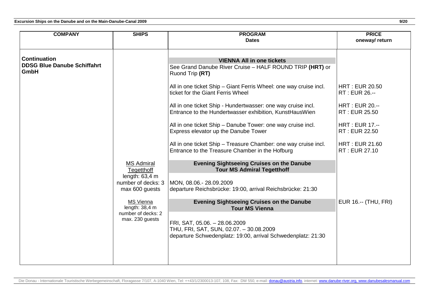| <b>COMPANY</b>                                                    | <b>SHIPS</b>                                                                                                                                                                        | <b>PROGRAM</b><br><b>Dates</b>                                                                                                                                                                                                                                                                                                                                                                                                                                                                                                                                                                                                                                                                                                                                                                                                                                                   | <b>PRICE</b><br>oneway/ return                                                                                                                                                               |
|-------------------------------------------------------------------|-------------------------------------------------------------------------------------------------------------------------------------------------------------------------------------|----------------------------------------------------------------------------------------------------------------------------------------------------------------------------------------------------------------------------------------------------------------------------------------------------------------------------------------------------------------------------------------------------------------------------------------------------------------------------------------------------------------------------------------------------------------------------------------------------------------------------------------------------------------------------------------------------------------------------------------------------------------------------------------------------------------------------------------------------------------------------------|----------------------------------------------------------------------------------------------------------------------------------------------------------------------------------------------|
| <b>Continuation</b><br><b>DDSG Blue Danube Schiffahrt</b><br>GmbH | <b>MS Admiral</b><br><b>Tegetthoff</b><br>length: $63,4$ m<br>number of decks: 3<br>max 600 guests<br><b>MS Vienna</b><br>length: $38,4$ m<br>number of decks: 2<br>max. 230 guests | <b>VIENNA All in one tickets</b><br>See Grand Danube River Cruise - HALF ROUND TRIP (HRT) or<br>Ruond Trip (RT)<br>All in one ticket Ship - Giant Ferris Wheel: one way cruise incl.<br>ticket for the Giant Ferris Wheel<br>All in one ticket Ship - Hundertwasser: one way cruise incl.<br>Entrance to the Hundertwasser exhibition, KunstHausWien<br>All in one ticket Ship - Danube Tower: one way cruise incl.<br>Express elevator up the Danube Tower<br>All in one ticket Ship - Treasure Chamber: one way cruise incl.<br>Entrance to the Treasure Chamber in the Hofburg<br><b>Evening Sightseeing Cruises on the Danube</b><br><b>Tour MS Admiral Tegetthoff</b><br>MON, 08.06.-28.09.2009<br>departure Reichsbrücke: 19:00, arrival Reichsbrücke: 21:30<br><b>Evening Sightseeing Cruises on the Danube</b><br><b>Tour MS Vienna</b><br>FRI, SAT, 05.06. - 28.06.2009 | <b>HRT: EUR 20.50</b><br>RT: EUR 26.--<br><b>HRT: EUR 20.--</b><br>RT: EUR 25.50<br><b>HRT: EUR 17.--</b><br>RT: EUR 22.50<br><b>HRT: EUR 21.60</b><br>RT: EUR 27.10<br>EUR 16.-- (THU, FRI) |
|                                                                   |                                                                                                                                                                                     | THU, FRI, SAT, SUN, 02.07. - 30.08.2009<br>departure Schwedenplatz: 19:00, arrival Schwedenplatz: 21:30                                                                                                                                                                                                                                                                                                                                                                                                                                                                                                                                                                                                                                                                                                                                                                          |                                                                                                                                                                                              |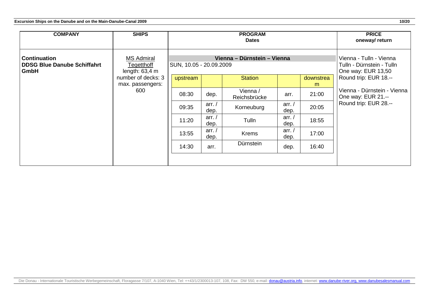| <b>COMPANY</b>                                                    | <b>SHIPS</b>                                        | <b>PROGRAM</b><br><b>Dates</b> |                             |                                                                            |                |                | <b>PRICE</b><br>oneway/return                      |
|-------------------------------------------------------------------|-----------------------------------------------------|--------------------------------|-----------------------------|----------------------------------------------------------------------------|----------------|----------------|----------------------------------------------------|
| <b>Continuation</b><br><b>DDSG Blue Danube Schiffahrt</b><br>GmbH | <b>MS Admiral</b><br>Tegetthoff<br>length: $63,4$ m | SUN, 10.05 - 20.09.2009        | Vienna - Dürnstein - Vienna | Vienna - Tulln - Vienna<br>Tulln - Dürnstein - Tulln<br>One way: EUR 13,50 |                |                |                                                    |
|                                                                   | number of decks: 3<br>max. passengers:              | upstream                       |                             | <b>Station</b>                                                             |                | downstrea<br>m | Round trip: EUR 18 .--                             |
|                                                                   | 600                                                 | 08:30                          | dep.                        | Vienna /<br>Reichsbrücke                                                   | arr.           | 21:00          | Vienna - Dürnstein - Vienna<br>One way: EUR 21 .-- |
|                                                                   |                                                     | 09:35                          | arr. /<br>dep.              | Korneuburg                                                                 | arr. /<br>dep. | 20:05          | Round trip: EUR 28 .--                             |
|                                                                   |                                                     | 11:20                          | arr. $/$<br>dep.            | Tulln                                                                      | arr. /<br>dep. | 18:55          |                                                    |
|                                                                   |                                                     | 13:55                          | arr. /<br>dep.              | <b>Krems</b>                                                               | arr. /<br>dep. | 17:00          |                                                    |
|                                                                   |                                                     | 14:30                          | arr.                        | Dürnstein                                                                  | dep.           | 16:40          |                                                    |
|                                                                   |                                                     |                                |                             |                                                                            |                |                |                                                    |

Die Donau - Internationale Touristische Werbegemeinschaft, Floragasse 7/107, A-1040 Wien, Tel: ++43/1/2300013-107, 108, Fax: DW 550, e-mail: <u>donau@austria.info,</u> internet: <u>www.danube-river.org, www.danubesalesmanual.com</u>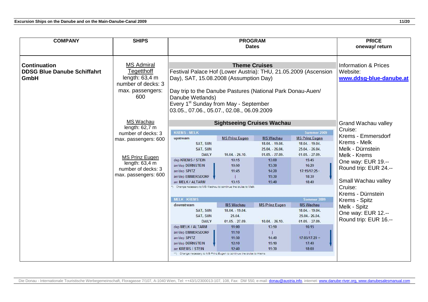| <b>COMPANY</b>                                                                                                                                                       | <b>SHIPS</b>                                                                                                                                                                  |                                                                                                                                                                                     | <b>PROGRAM</b><br><b>Dates</b>                                                                                                                                                                                                                                                                                         |                                                                                                                                                   |                                                                                                                                                                                           |                                                                                                   |  |  |
|----------------------------------------------------------------------------------------------------------------------------------------------------------------------|-------------------------------------------------------------------------------------------------------------------------------------------------------------------------------|-------------------------------------------------------------------------------------------------------------------------------------------------------------------------------------|------------------------------------------------------------------------------------------------------------------------------------------------------------------------------------------------------------------------------------------------------------------------------------------------------------------------|---------------------------------------------------------------------------------------------------------------------------------------------------|-------------------------------------------------------------------------------------------------------------------------------------------------------------------------------------------|---------------------------------------------------------------------------------------------------|--|--|
| <b>Continuation</b><br><b>DDSG Blue Danube Schiffahrt</b><br><b>GmbH</b>                                                                                             | <b>MS Admiral</b><br>Tegetthoff<br>length: $63,4$ m<br>number of decks: 3<br>max. passengers:<br>600                                                                          |                                                                                                                                                                                     | <b>Theme Cruises</b><br>Festival Palace Hof (Lower Austria): THU, 21.05.2009 (Ascension<br>Day), SAT, 15.08.2008 (Assumption Day)<br>Day trip to the Danube Pastures (National Park Donau-Auen/<br>Danube Wetlands)<br>Every 1 <sup>st</sup> Sunday from May - September<br>03.05., 07.06., 05.07., 02.08., 06.09.2009 |                                                                                                                                                   |                                                                                                                                                                                           |                                                                                                   |  |  |
| MS Wachau<br>length: 62,7 m<br>number of decks: 3<br>max. passengers: 600<br><b>MS Prinz Eugen</b><br>length: $63,4$ m<br>number of decks: 3<br>max. passengers: 600 | <b>KREMS - MELK</b><br>upstream<br>SAT, SUN<br>SAT, SUN<br><b>DAILY</b><br>dep KREMS / STEIN<br>arr/dep DÜRNSTEIN<br>arr/dep SPITZ<br>arr/dep EMMERSDORF<br>arr MELK / ALTARM | <b>Sightseeing Cruises Wachau</b><br><b>MS Prinz Eugen</b><br>$10.04. - 26.10.$<br>10:15<br>10:50<br>11:45<br>13:15<br>Change necessary to MS Wachau to continue the cruise to Melk | <b>MS Wachau</b><br>18.04. - 19.04.<br>25.04. - 26.04.<br>$01.05. - 27.09.$<br>13:00<br>13:30<br>14:20<br>15:30<br>15:40                                                                                                                                                                                               | Summer 2009<br><b>MS Prinz Eugen</b><br>18.04. - 19.04.<br>25.04. - 26.04.<br>$01.05. -27.09.$<br>15:45<br>16:20<br>17:15/17:25<br>18:30<br>18:40 | Grand Wachau valley<br>Cruise:<br>Krems - Emmersdorf<br>Krems - Melk<br>Melk - Dürnstein<br>Melk - Krems<br>One way: EUR 19.--<br>Round trip: EUR 24.--<br>Small Wachau valley<br>Cruise: |                                                                                                   |  |  |
|                                                                                                                                                                      |                                                                                                                                                                               | <b>MELK - KREMS</b><br>downstream<br>SAT, SUN<br>SAT, SUN<br><b>DAILY</b><br>dep MELK / ALTARM<br>arr/dep EMMERSDORF<br>arr/dep SPITZ<br>arr/dep DÜRNSTEIN<br>arr KREMS / STEIN     | <b>MS Wachau</b><br>18.04. - 19.04.<br>25.04.<br>$01.05. -27.09.$<br>11:00<br>11:10<br>11:50<br>12:10<br>12:40<br>Change necessary to MS Prinz Eugen to continue the cruise to Krems                                                                                                                                   | <b>MS Prinz Eugen</b><br>$10.04. - 26.10.$<br>13:50<br>14:40<br>15:10<br>15:30                                                                    | Sommer 2009<br><b>MS Wachau</b><br>18.04. - 19.04.<br>25.04. 26.04.<br>$01.05. - 27.09.$<br>16:15<br>$17:05/17:20 -$<br>17:40<br>18:00                                                    | Krems - Dürnstein<br>Krems - Spitz<br>Melk - Spitz<br>One way: EUR 12.--<br>Round trip: EUR 16.-- |  |  |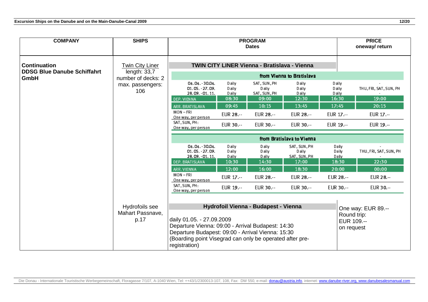| <b>COMPANY</b>                                            | <b>SHIPS</b>                               | <b>PROGRAM</b><br><b>Dates</b>                                                                                                                                                                                   |                            |                                                     |                                        |                            | <b>PRICE</b><br>oneway/ return   |
|-----------------------------------------------------------|--------------------------------------------|------------------------------------------------------------------------------------------------------------------------------------------------------------------------------------------------------------------|----------------------------|-----------------------------------------------------|----------------------------------------|----------------------------|----------------------------------|
| <b>Continuation</b><br><b>DDSG Blue Danube Schiffahrt</b> | <b>Twin City Liner</b><br>length: $33,7$   |                                                                                                                                                                                                                  |                            | <b>TWIN CITY LINER Vienna - Bratislava - Vienna</b> |                                        |                            |                                  |
| GmbH                                                      | number of decks: 2                         |                                                                                                                                                                                                                  |                            |                                                     | from Vienna to Bratislava              |                            |                                  |
|                                                           | max. passengers:<br>106                    | 04.04. - 30.04.<br>01.05. - 27.09.<br>28.09. - 01.11.                                                                                                                                                            | D aily<br>D aily<br>D aily | SAT, SUN, PH<br>D aily<br>SAT, SUN, PH              | D aily<br>D aily<br>D aily             | D aily<br>D aily<br>D aily | THU, FRI, SAT, SUN, PH           |
|                                                           |                                            | DEP. VIENNA                                                                                                                                                                                                      | 08:30                      | 09:00                                               | 12:30                                  | 16:30                      | 19:00                            |
|                                                           |                                            | ARR. BRATISLAVA                                                                                                                                                                                                  | 09:45                      | 10:15                                               | 13:45                                  | 17:45                      | 20:15                            |
|                                                           |                                            | MON-FRI<br>One way, per person                                                                                                                                                                                   | EUR 28 .--                 | EUR 28 .--                                          | EUR 28 .--                             | EUR 17 .--                 | EUR 17.--                        |
|                                                           |                                            | SAT, SUN, PH:<br>One way, per person                                                                                                                                                                             | EUR 30 .--                 | EUR 30 .--                                          | EUR 30 .--                             | EUR 19 .--                 | EUR 19.--                        |
|                                                           |                                            |                                                                                                                                                                                                                  |                            |                                                     | from Bratislava to Vienna              |                            |                                  |
|                                                           |                                            | 04.04. - 30.04.<br>01.05. - 27.09.<br>28.09. - 01.11.                                                                                                                                                            | D aily<br>D aily<br>D aily | D aily<br>D aily<br>D aily                          | SAT, SUN, PH<br>D aily<br>SAT, SUN, PH | Daily<br>Daily<br>Daily    | THU, FRI, SAT, SUN, PH           |
|                                                           |                                            | DEP. BRATISLAVA                                                                                                                                                                                                  | 10:30                      | 14:30                                               | 17:00                                  | 18:30                      | 22:30                            |
|                                                           |                                            | ARR. VIENNA                                                                                                                                                                                                      | 12:00                      | 16:00                                               | 18:30                                  | 20:00                      | 00:00                            |
|                                                           |                                            | $MON - FRI$<br>One way, per person                                                                                                                                                                               | EUR 17 .--                 | EUR 28 .--                                          | EUR 28 .--                             | EUR 28 .--                 | EUR 28 .--                       |
|                                                           |                                            | SAT, SUN, PH:<br>One way, per person                                                                                                                                                                             | EUR 19 .--                 | EUR 30 .--                                          | EUR 30 .--                             | EUR 30 .--                 | EUR 30 .--                       |
|                                                           | Hydrofoils see<br>Mahart Passnave,<br>p.17 | daily 01.05. - 27.09.2009<br>Departure Vienna: 09:00 - Arrival Budapest: 14:30<br>Departure Budapest: 09:00 - Arrival Vienna: 15:30<br>(Boarding point Visegrad can only be operated after pre-<br>registration) |                            | Hydrofoil Vienna - Budapest - Vienna                |                                        | Round trip:<br>on request  | One way: EUR 89.--<br>EUR 109.-- |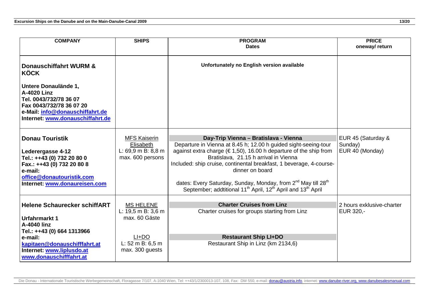| <b>COMPANY</b>                                                                                                                                                                                                              | <b>SHIPS</b>                                                                                              | <b>PROGRAM</b><br><b>Dates</b>                                                                                                                                                                                                                                                                                                                                                                                                                                                                                     | <b>PRICE</b><br>oneway/return                    |
|-----------------------------------------------------------------------------------------------------------------------------------------------------------------------------------------------------------------------------|-----------------------------------------------------------------------------------------------------------|--------------------------------------------------------------------------------------------------------------------------------------------------------------------------------------------------------------------------------------------------------------------------------------------------------------------------------------------------------------------------------------------------------------------------------------------------------------------------------------------------------------------|--------------------------------------------------|
| <b>Donauschiffahrt WURM &amp;</b><br><b>KÖCK</b><br>Untere Donaulände 1,<br><b>A-4020 Linz</b><br>Tel. 0043/732/78 36 07<br>Fax 0043/732/78 36 07 20<br>e-Mail: info@donauschiffahrt.de<br>Internet: www.donauschiffahrt.de |                                                                                                           | Unfortunately no English version available                                                                                                                                                                                                                                                                                                                                                                                                                                                                         |                                                  |
| <b>Donau Touristik</b><br>Lederergasse 4-12<br>Tel.: ++43 (0) 732 20 80 0<br>Fax.: ++43 (0) 732 20 80 8<br>e-mail:<br>office@donautouristik.com<br>Internet: www.donaureisen.com                                            | <b>MFS Kaiserin</b><br>Elisabeth<br>L: $69.9$ m B: $8.8$ m<br>max. 600 persons                            | Day-Trip Vienna - Bratislava - Vienna<br>Departure in Vienna at 8.45 h; 12.00 h guided sight-seeing-tour<br>against extra charge ( $\in$ 1,50), 16.00 h departure of the ship from<br>Bratislava, 21.15 h arrival in Vienna<br>Included: ship cruise, continental breakfast, 1 beverage, 4-course-<br>dinner on board<br>dates: Every Saturday, Sunday, Monday, from 2 <sup>nd</sup> May till 28 <sup>th</sup><br>September; addtitional 11 <sup>th</sup> April, 12 <sup>th</sup> April and 13 <sup>th</sup> April | EUR 45 (Saturday &<br>Sunday)<br>EUR 40 (Monday) |
| <b>Helene Schaurecker schiffART</b><br>Urfahrmarkt 1<br>A-4040 linz<br>Tel.: ++43 (0) 664 1313966<br>e-mail:<br>kapitaen@donauschifffahrt.at<br>Internet: www.liplusdo.at<br>www.donauschifffahrt.at                        | <b>MS HELENE</b><br>L: 19,5 m B: 3,6 m<br>max. 60 Gäste<br>$LI+DO$<br>L: 52 m B: 6,5 m<br>max. 300 guests | <b>Charter Cruises from Linz</b><br>Charter cruises for groups starting from Linz<br><b>Restaurant Ship LI+DO</b><br>Restaurant Ship in Linz (km 2134,6)                                                                                                                                                                                                                                                                                                                                                           | 2 hours exklusive-charter<br>EUR 320,-           |

Die Donau - Internationale Touristische Werbegemeinschaft, Floragasse 7/107, A-1040 Wien, Tel: ++43/1/2300013-107, 108, Fax: DW 550, e-mail: <u>donau@austria.info,</u> internet: <u>www.danube-river.org, www.danubesalesmanual.com</u>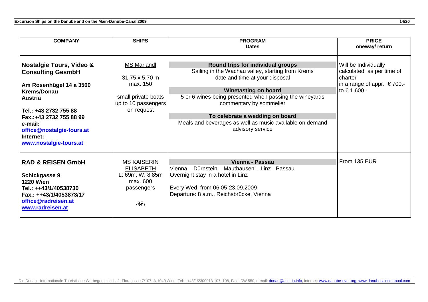| <b>COMPANY</b>                                                                                                                                                                                                                                                         | <b>SHIPS</b>                                                                                                 | <b>PROGRAM</b><br><b>Dates</b>                                                                                                                                                                                                                                                                                                                                   | <b>PRICE</b><br>oneway/return                                                                                        |
|------------------------------------------------------------------------------------------------------------------------------------------------------------------------------------------------------------------------------------------------------------------------|--------------------------------------------------------------------------------------------------------------|------------------------------------------------------------------------------------------------------------------------------------------------------------------------------------------------------------------------------------------------------------------------------------------------------------------------------------------------------------------|----------------------------------------------------------------------------------------------------------------------|
| <b>Nostalgie Tours, Video &amp;</b><br><b>Consulting GesmbH</b><br>Am Rosenhügel 14 a 3500<br><b>Krems/Donau</b><br><b>Austria</b><br>Tel.: +43 2732 755 88<br>Fax.: +43 2732 755 88 99<br>e-mail:<br>office@nostalgie-tours.at<br>Internet:<br>www.nostalgie-tours.at | <b>MS Mariandl</b><br>31,75 x 5.70 m<br>max. 150<br>small private boats<br>up to 10 passengers<br>on request | Round trips for individual groups<br>Sailing in the Wachau valley, starting from Krems<br>date and time at your disposal<br><b>Winetasting on board</b><br>5 or 6 wines being presented when passing the wineyards<br>commentary by sommelier<br>To celebrate a wedding on board<br>Meals and beverages as well as music available on demand<br>advisory service | Will be Individually<br>calculated as per time of<br>charter<br>in a range of appr. $\epsilon$ 700.-<br>to € 1.600.- |
| <b>RAD &amp; REISEN GmbH</b><br>Schickgasse 9<br><b>1220 Wien</b><br>Tel.: ++43/1/40538730<br>Fax.: ++43/1/4053873/17<br>office@radreisen.at<br>www.radreisen.at                                                                                                       | <b>MS KAISERIN</b><br><b>ELISABETH</b><br>L: 69m, W: 8,85m<br>max. 600<br>passengers<br>ঔঠ                   | Vienna - Passau<br>Vienna - Dürnstein - Mauthausen - Linz - Passau<br>Overnight stay in a hotel in Linz<br>Every Wed. from 06.05-23.09.2009<br>Departure: 8 a.m., Reichsbrücke, Vienna                                                                                                                                                                           | From 135 EUR                                                                                                         |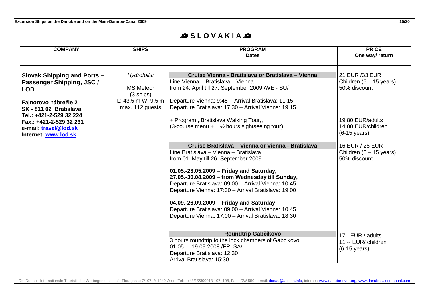### **SLOVAKIAS**

| <b>COMPANY</b>                                                                | <b>SHIPS</b>                                           | <b>PROGRAM</b><br><b>Dates</b>                                                                                                                                                                            | <b>PRICE</b><br>One way/ return                                    |
|-------------------------------------------------------------------------------|--------------------------------------------------------|-----------------------------------------------------------------------------------------------------------------------------------------------------------------------------------------------------------|--------------------------------------------------------------------|
| <b>Slovak Shipping and Ports -</b><br>Passenger Shipping, JSC /<br><b>LOD</b> | Hydrofoils:<br><b>MS Meteor</b><br>$(3 \text{ ships})$ | Cruise Vienna - Bratislava or Bratislava - Vienna<br>Line Vienna - Bratislava - Vienna<br>from 24. April till 27. September 2009 /WE - SU/                                                                | 21 EUR /33 EUR<br>Children $(6 - 15$ years)<br>50% discount        |
| Fajnorovo nábrežie 2<br>SK-81102 Bratislava<br>Tel.: +421-2-529 32 224        | L: $43,5$ m W: $9,5$ m<br>max. 112 guests              | Departure Vienna: 9:45 - Arrival Bratislava: 11:15<br>Departure Bratislava: 17:30 - Arrival Vienna: 19:15                                                                                                 |                                                                    |
| Fax.: +421-2-529 32 231<br>e-mail: travel@lod.sk<br>Internet: www.lod.sk      |                                                        | + Program ,, Bratislava Walking Tour,,<br>(3-course menu + $1\frac{1}{2}$ hours sightseeing tour)                                                                                                         | 19,80 EUR/adults<br>14,80 EUR/children<br>$(6-15 \text{ years})$   |
|                                                                               |                                                        | Cruise Bratislava - Vienna or Vienna - Bratislava<br>Line Bratislava - Vienna - Bratislava<br>from 01. May till 26. September 2009                                                                        | 16 EUR / 28 EUR<br>Children $(6 - 15$ years)<br>50% discount       |
|                                                                               |                                                        | 01.05.-23.05.2009 - Friday and Saturday,<br>27.05.-30.08.2009 - from Wednesday till Sunday,<br>Departure Bratislava: 09:00 - Arrival Vienna: 10:45<br>Departure Vienna: 17:30 - Arrival Bratislava: 19:00 |                                                                    |
|                                                                               |                                                        | 04.09.-26.09.2009 - Friday and Saturday<br>Departure Bratislava: 09:00 - Arrival Vienna: 10:45<br>Departure Vienna: 17:00 - Arrival Bratislava: 18:30                                                     |                                                                    |
|                                                                               |                                                        | Roundtrip Gabčíkovo<br>3 hours roundtrip to the lock chambers of Gabcikovo<br>$01.05. - 19.09.2008$ /FR, SA/<br>Departure Bratislava: 12:30<br>Arrival Bratislava: 15:30                                  | 17,- EUR / adults<br>11,-- EUR/ children<br>$(6-15 \text{ years})$ |

Die Donau - Internationale Touristische Werbegemeinschaft, Floragasse 7/107, A-1040 Wien, Tel: ++43/1/2300013-107, 108, Fax: DW 550, e-mail: <u>donau@austria.info,</u> internet: <u>www.danube-river.org, www.danubesalesmanual.com</u>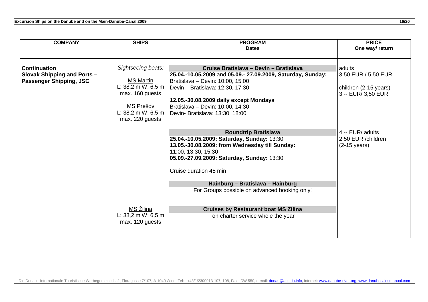| <b>COMPANY</b>                 | <b>SHIPS</b>                  | <b>PROGRAM</b>                                              | <b>PRICE</b>           |
|--------------------------------|-------------------------------|-------------------------------------------------------------|------------------------|
|                                |                               | <b>Dates</b>                                                | One way/ return        |
|                                |                               |                                                             |                        |
|                                |                               |                                                             |                        |
| <b>Continuation</b>            | Sightseeing boats:            | Cruise Bratislava - Devín - Bratislava                      | adults                 |
| Slovak Shipping and Ports -    |                               | 25.04.-10.05.2009 and 05.09.- 27.09.2009, Saturday, Sunday: | 3,50 EUR / 5,50 EUR    |
| <b>Passenger Shipping, JSC</b> | <b>MS Martin</b>              | Bratislava - Devin: 10:00, 15:00                            |                        |
|                                | L: $38,2 \text{ m W}$ : 6,5 m | Devin - Bratislava: 12:30, 17:30                            | children (2-15 years)  |
|                                | max. 160 guests               |                                                             | 3,-- EUR/ 3,50 EUR     |
|                                |                               | 12.05.-30.08.2009 daily except Mondays                      |                        |
|                                | MS Prešov                     | Bratislava - Devin: 10:00, 14:30                            |                        |
|                                | L: $38,2 \text{ m W}$ : 6,5 m | Devin- Bratislava: 13:30, 18:00                             |                        |
|                                | max. 220 guests               |                                                             |                        |
|                                |                               |                                                             |                        |
|                                |                               | <b>Roundtrip Bratislava</b>                                 | 4,-- EUR/ adults       |
|                                |                               | 25.04.-10.05.2009: Saturday, Sunday: 13:30                  | 2,50 EUR /children     |
|                                |                               | 13.05.-30.08.2009: from Wednesday till Sunday:              | $(2-15 \text{ years})$ |
|                                |                               | 11:00, 13:30, 15:30                                         |                        |
|                                |                               | 05.09.-27.09.2009: Saturday, Sunday: 13:30                  |                        |
|                                |                               |                                                             |                        |
|                                |                               | Cruise duration 45 min                                      |                        |
|                                |                               |                                                             |                        |
|                                |                               | Hainburg - Bratislava - Hainburg                            |                        |
|                                |                               | For Groups possible on advanced booking only!               |                        |
|                                |                               |                                                             |                        |
|                                |                               |                                                             |                        |
|                                | MS Žilina                     | <b>Cruises by Restaurant boat MS Zilina</b>                 |                        |
|                                | L: $38,2 \text{ m W}$ : 6,5 m | on charter service whole the year                           |                        |
|                                | max. 120 guests               |                                                             |                        |
|                                |                               |                                                             |                        |
|                                |                               |                                                             |                        |
|                                |                               |                                                             |                        |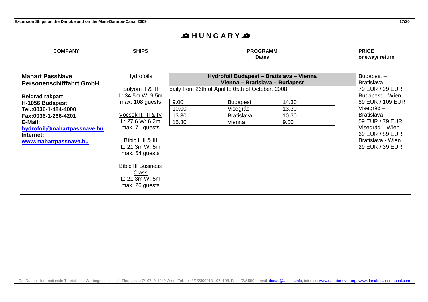### **OHUNGARY**

| <b>COMPANY</b>                                                                                                                                 | <b>SHIPS</b>                                                                                                                                                                                                              |                                                                                               | <b>PRICE</b><br>oneway/return                                 |                                 |                                                                                                                                                      |
|------------------------------------------------------------------------------------------------------------------------------------------------|---------------------------------------------------------------------------------------------------------------------------------------------------------------------------------------------------------------------------|-----------------------------------------------------------------------------------------------|---------------------------------------------------------------|---------------------------------|------------------------------------------------------------------------------------------------------------------------------------------------------|
| <b>Mahart PassNave</b><br><b>Personenschifffahrt GmbH</b><br><b>Belgrad rakpart</b>                                                            | Hydrofoils:<br>Sólyom II & III<br>L: 34,5m W: 9,5m                                                                                                                                                                        | Hydrofoil Budapest - Bratislava - Vienna<br>daily from 26th of April to 05th of October, 2008 | Budapest-<br>Bratislava<br>79 EUR / 99 EUR<br>Budapest - Wien |                                 |                                                                                                                                                      |
| H-1056 Budapest<br>Tel.:0036-1-484-4000<br>Fax:0036-1-266-4201<br>E-Mail:<br>hydrofoil@mahartpassnave.hu<br>Internet:<br>www.mahartpassnave.hu | max. 108 guests<br>Vöcsök II, III & IV<br>L: $27,6 W: 6,2m$<br>max. 71 guests<br>Bíbic I, II & III<br>L: 21, 3m W: 5m<br>max. 54 guests<br><b>Bíbic III Business</b><br><b>Class</b><br>L: 21, 3m W: 5m<br>max. 26 guests | 9.00<br>10.00<br>13.30<br>15.30                                                               | <b>Budapest</b><br>Visegrád<br><b>Bratislava</b><br>Vienna    | 14.30<br>13.30<br>10.30<br>9.00 | 89 EUR / 109 EUR<br>Visegrád –<br><b>Bratislava</b><br>59 EUR / 79 EUR<br>Visegrád – Wien<br>69 EUR / 89 EUR<br>Bratislava - Wien<br>29 EUR / 39 EUR |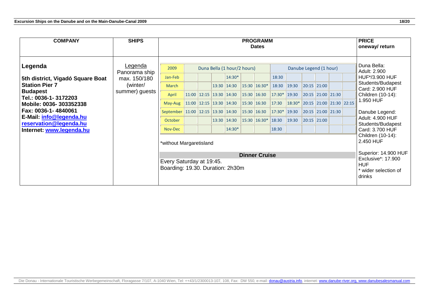| <b>COMPANY</b>                                                                                                                                                                                                                                    | <b>SHIPS</b>                                                                  | <b>PROGRAMM</b><br><b>Dates</b>                                                                                                                                            |  |  |  |                                                                                                                                                                                  |  |                                                                                                     | <b>PRICE</b><br>oneway/return                                                 |                                                    |                                                                                                 |  |  |  |                                                                                                                                                                                                                                                                                                                                       |
|---------------------------------------------------------------------------------------------------------------------------------------------------------------------------------------------------------------------------------------------------|-------------------------------------------------------------------------------|----------------------------------------------------------------------------------------------------------------------------------------------------------------------------|--|--|--|----------------------------------------------------------------------------------------------------------------------------------------------------------------------------------|--|-----------------------------------------------------------------------------------------------------|-------------------------------------------------------------------------------|----------------------------------------------------|-------------------------------------------------------------------------------------------------|--|--|--|---------------------------------------------------------------------------------------------------------------------------------------------------------------------------------------------------------------------------------------------------------------------------------------------------------------------------------------|
| Legenda<br>5th district, Vigadó Square Boat<br><b>Station Pier 7</b><br><b>Budapest</b><br>Tel.: 0036-1-3172203<br>Mobile: 0036-303352338<br>Fax: 0036-1-4840061<br>E-Mail: info@legenda.hu<br>reservation@legenda.hu<br>Internet: www.legenda.hu | <u>Legenda</u><br>Panorama ship<br>max. 150/180<br>(winter/<br>summer) guests | 2009<br>Jan-Feb<br>March<br>April<br>May-Aug<br>September<br>October<br>Nov-Dec<br>*without Margaretisland<br>Every Saturday at 19:45.<br>Boarding: 19.30. Duration: 2h30m |  |  |  | Duna Bella (1 hour/2 hours)<br>14:30*<br>13:30 14:30<br>$11:00$   12:15   13:30   14:30<br>$11:00$ $12:15$ $13:30$ $14:30$<br>$11:00$ 12:15 13:30 14:30<br>13:30 14:30<br>14:30* |  | 15:30 16:30*<br>15:30 16:30<br>15:30   16:30<br>15:30 16:30<br>15:30 16:30*<br><b>Dinner Cruise</b> | 18:30<br>18:30<br>$17:30*$ 19:30<br>17:30<br>$17:30*$ 19:30<br>18:30<br>18:30 | 19:30<br>$18:30*$ 20:15 21:00 21:30 22:15<br>19:30 | Danube Legend (1 hour)<br>20:15 21:00<br>20:15 21:00 21:30<br>20:15 21:00 21:30<br> 20:15 21:00 |  |  |  | Duna Bella:<br>Adult: 2.900<br>HUF*/3.900 HUF<br>Students/Budapest<br>Card: 2.900 HUF<br>Children (10-14):<br>1.950 HUF<br>Danube Legend:<br>Adult: 4.900 HUF<br>Students/Budapest<br>Card: 3.700 HUF<br>Children (10-14):<br>2.450 HUF<br>Superior: 14.900 HUF<br>Exclusive*: 17.900<br><b>HUF</b><br>* wider selection of<br>drinks |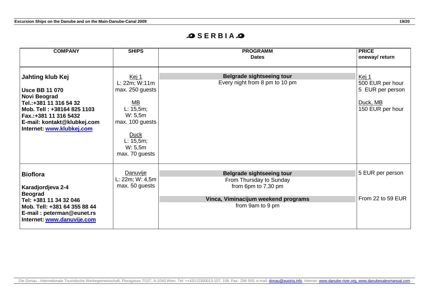### **SSERBIAS**

| <b>COMPANY</b>                                                                                                                                                                                         | <b>SHIPS</b>                                                                                                                                     | <b>PROGRAMM</b><br><b>Dates</b>                                                                                                               | <b>PRICE</b><br>oneway/ return                                                |
|--------------------------------------------------------------------------------------------------------------------------------------------------------------------------------------------------------|--------------------------------------------------------------------------------------------------------------------------------------------------|-----------------------------------------------------------------------------------------------------------------------------------------------|-------------------------------------------------------------------------------|
| Jahting klub Kej<br><b>Usce BB 11 070</b><br>Novi Beograd<br>Tel.:+381 11 316 54 32<br>Mob. Tell: +38164 825 1103<br>Fax.:+381 11 316 5432<br>E-mail: kontakt@klubkej.com<br>Internet: www.klubkej.com | Kej 1<br>L: 22m; W:11m<br>max. 250 guests<br>MB<br>L: 15, 5m;<br>W: 5, 5m<br>max. 100 guests<br>Duck<br>L: 15, 5m;<br>W: 5, 5m<br>max. 70 guests | <b>Belgrade sightseeing tour</b><br>Every night from 8 pm to 10 pm                                                                            | Kej 1<br>500 EUR per hour<br>5 EUR per person<br>Duck, MB<br>150 EUR per hour |
| <b>Bioflora</b><br>Karadjordjeva 2-4<br><b>Beograd</b><br>Tel: +381 11 34 32 046<br>Mob. Tell: +381 64 355 88 44<br>E-mail: peterman@eunet.rs<br>Internet: www.danuvije.com                            | Danuvije<br>L: 22m; W: 4, 5m<br>max. 50 guests                                                                                                   | <b>Belgrade sightseeing tour</b><br>From Thursday to Sunday<br>from 6pm to 7.30 pm<br>Vinca, Viminacijum weekend programs<br>from 9am to 9 pm | 5 EUR per person<br>From 22 to 59 EUR                                         |